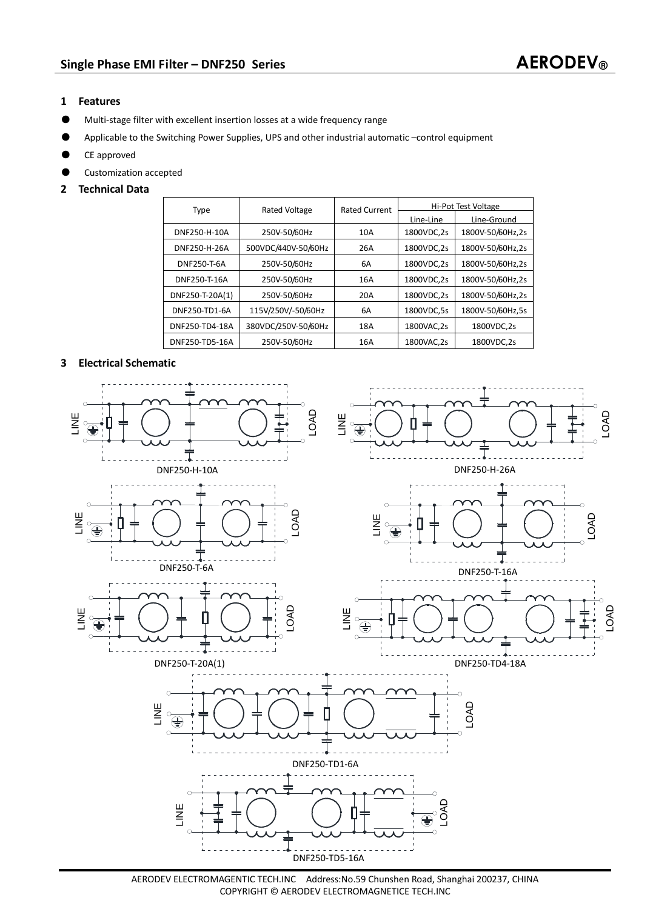## **1 Features**

- ƽ Multi-stage filter with excellent insertion losses at a wide frequency range
- Applicable to the Switching Power Supplies, UPS and other industrial automatic –control equipment
- ƽ CE approved
- ƽ Customization accepted
- **2 Technical Data**

| Type            | <b>Rated Voltage</b> | <b>Rated Current</b> | <b>Hi-Pot Test Voltage</b> |                  |
|-----------------|----------------------|----------------------|----------------------------|------------------|
|                 |                      |                      | Line-Line                  | Line-Ground      |
| DNF250-H-10A    | 250V-50/60Hz         | 10A                  | 1800VDC,2s                 | 1800V-50/60Hz,2s |
| DNF250-H-26A    | 500VDC/440V-50/60Hz  | 26A                  | 1800VDC,2s                 | 1800V-50/60Hz,2s |
| DNF250-T-6A     | 250V-50/60Hz         | 6A                   | 1800VDC,2s                 | 1800V-50/60Hz,2s |
| DNF250-T-16A    | 250V-50/60Hz         | 16A                  | 1800VDC,2s                 | 1800V-50/60Hz,2s |
| DNF250-T-20A(1) | 250V-50/60Hz         | 20A                  | 1800VDC,2s                 | 1800V-50/60Hz,2s |
| DNF250-TD1-6A   | 115V/250V/-50/60Hz   | 6A                   | 1800VDC.5s                 | 1800V-50/60Hz.5s |
| DNF250-TD4-18A  | 380VDC/250V-50/60Hz  | 18A                  | 1800VAC.2s                 | 1800VDC.2s       |
| DNF250-TD5-16A  | 250V-50/60Hz         | 16A                  | 1800VAC.2s                 | 1800VDC,2s       |

## **3 Electrical Schematic**



AERODEV ELECTROMAGENTIC TECH.INC Address:No.59 Chunshen Road, Shanghai 200237, CHINA COPYRIGHT © AERODEV ELECTROMAGNETICE TECH.INC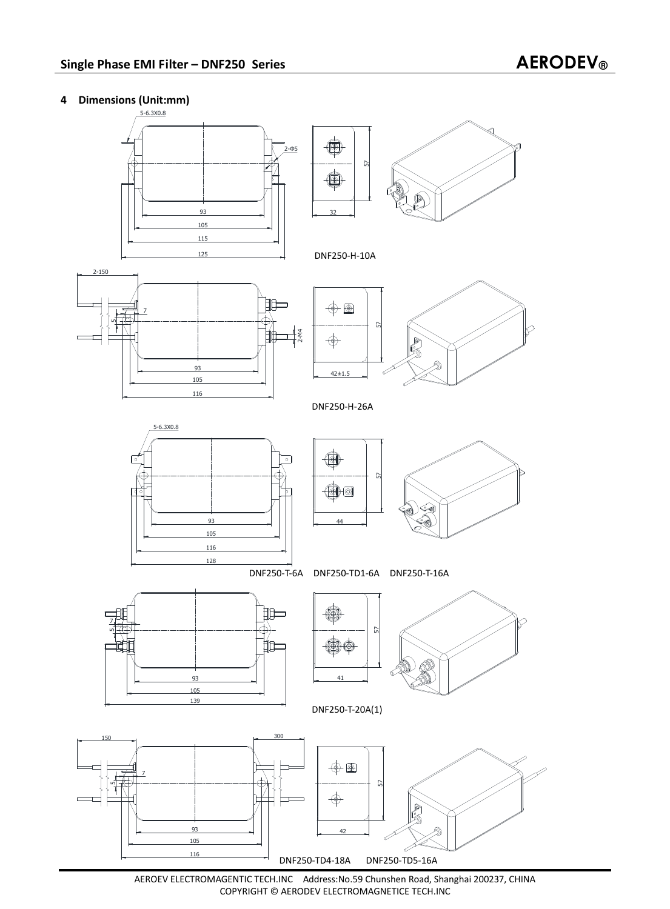## **4 Dimensions (Unit:mm)**



AEROEV ELECTROMAGENTIC TECH.INC Address:No.59 Chunshen Road, Shanghai 200237, CHINA COPYRIGHT © AERODEV ELECTROMAGNETICE TECH.INC